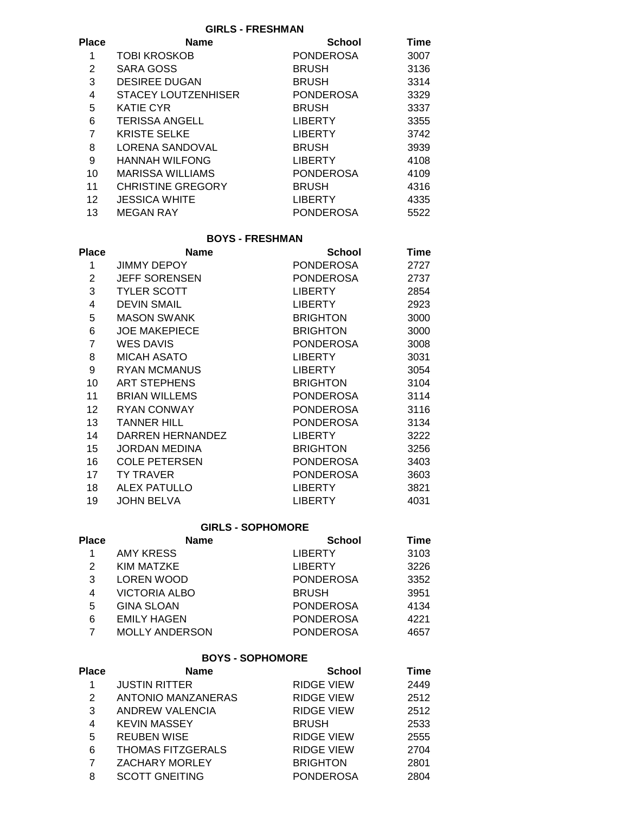**GIRLS - FRESHMAN**

|                          |                  | Time   |  |
|--------------------------|------------------|--------|--|
| <b>TOBI KROSKOB</b>      | <b>PONDEROSA</b> | 3007   |  |
| SARA GOSS                | <b>BRUSH</b>     | 3136   |  |
| <b>DESIREE DUGAN</b>     | <b>BRUSH</b>     | 3314   |  |
| STACEY LOUTZENHISER      | <b>PONDEROSA</b> | 3329   |  |
| <b>KATIE CYR</b>         | <b>BRUSH</b>     | 3337   |  |
| <b>TERISSA ANGELL</b>    | <b>LIBERTY</b>   | 3355   |  |
| <b>KRISTE SELKE</b>      | <b>LIBERTY</b>   | 3742   |  |
| LORENA SANDOVAL          | <b>BRUSH</b>     | 3939   |  |
| <b>HANNAH WILFONG</b>    | <b>LIBERTY</b>   | 4108   |  |
| <b>MARISSA WILLIAMS</b>  | <b>PONDEROSA</b> | 4109   |  |
| <b>CHRISTINE GREGORY</b> | <b>BRUSH</b>     | 4316   |  |
| <b>JESSICA WHITE</b>     | <b>LIBERTY</b>   | 4335   |  |
| <b>MEGAN RAY</b>         | <b>PONDEROSA</b> | 5522   |  |
|                          | <b>Name</b>      | School |  |

# **BOYS - FRESHMAN**

| Place          | <b>Name</b>          | <b>School</b>    | Time |  |
|----------------|----------------------|------------------|------|--|
| 1              | JIMMY DEPOY          | PONDEROSA        | 2727 |  |
| 2              | <b>JEFF SORENSEN</b> | PONDEROSA        | 2737 |  |
| 3              | <b>TYLER SCOTT</b>   | <b>LIBERTY</b>   | 2854 |  |
| 4              | <b>DEVIN SMAIL</b>   | <b>LIBERTY</b>   | 2923 |  |
| 5              | <b>MASON SWANK</b>   | <b>BRIGHTON</b>  | 3000 |  |
| 6              | <b>JOE MAKEPIECE</b> | <b>BRIGHTON</b>  | 3000 |  |
| $\overline{7}$ | <b>WES DAVIS</b>     | PONDEROSA        | 3008 |  |
| 8              | MICAH ASATO          | <b>LIBERTY</b>   | 3031 |  |
| 9              | <b>RYAN MCMANUS</b>  | <b>LIBERTY</b>   | 3054 |  |
| 10             | <b>ART STEPHENS</b>  | <b>BRIGHTON</b>  | 3104 |  |
| 11             | <b>BRIAN WILLEMS</b> | PONDEROSA        | 3114 |  |
| 12             | <b>RYAN CONWAY</b>   | PONDEROSA        | 3116 |  |
| 13             | <b>TANNER HILL</b>   | <b>PONDEROSA</b> | 3134 |  |
| 14             | DARREN HERNANDEZ     | <b>LIBERTY</b>   | 3222 |  |
| 15             | JORDAN MEDINA        | BRIGHTON         | 3256 |  |
| 16             | <b>COLE PETERSEN</b> | PONDEROSA        | 3403 |  |
| 17             | TY TRAVER            | <b>PONDEROSA</b> | 3603 |  |
| 18             | <b>ALEX PATULLO</b>  | <b>LIBERTY</b>   | 3821 |  |
| 19             | JOHN BELVA           | <b>LIBERTY</b>   | 4031 |  |

## **GIRLS - SOPHOMORE**

| Place | <b>Name</b>           | <b>School</b>    | Time |  |
|-------|-----------------------|------------------|------|--|
|       | AMY KRESS             | <b>LIBERTY</b>   | 3103 |  |
| 2     | KIM MATZKE            | LIBERTY          | 3226 |  |
| 3     | <b>LOREN WOOD</b>     | <b>PONDEROSA</b> | 3352 |  |
| 4     | <b>VICTORIA ALBO</b>  | <b>BRUSH</b>     | 3951 |  |
| 5     | <b>GINA SLOAN</b>     | <b>PONDEROSA</b> | 4134 |  |
| 6     | <b>EMILY HAGEN</b>    | <b>PONDEROSA</b> | 4221 |  |
|       | <b>MOLLY ANDERSON</b> | <b>PONDEROSA</b> | 4657 |  |

#### **BOYS - SOPHOMORE**

| Place | <b>Name</b>              | <b>School</b>     | Time |  |
|-------|--------------------------|-------------------|------|--|
|       | <b>JUSTIN RITTER</b>     | <b>RIDGE VIEW</b> | 2449 |  |
| 2     | ANTONIO MANZANERAS       | <b>RIDGE VIEW</b> | 2512 |  |
| 3     | ANDREW VALENCIA          | <b>RIDGE VIEW</b> | 2512 |  |
| 4     | <b>KEVIN MASSEY</b>      | <b>BRUSH</b>      | 2533 |  |
| 5     | <b>REUBEN WISE</b>       | <b>RIDGE VIEW</b> | 2555 |  |
| 6     | <b>THOMAS FITZGERALS</b> | <b>RIDGE VIEW</b> | 2704 |  |
| 7     | <b>ZACHARY MORLEY</b>    | <b>BRIGHTON</b>   | 2801 |  |
| 8     | <b>SCOTT GNEITING</b>    | <b>PONDEROSA</b>  | 2804 |  |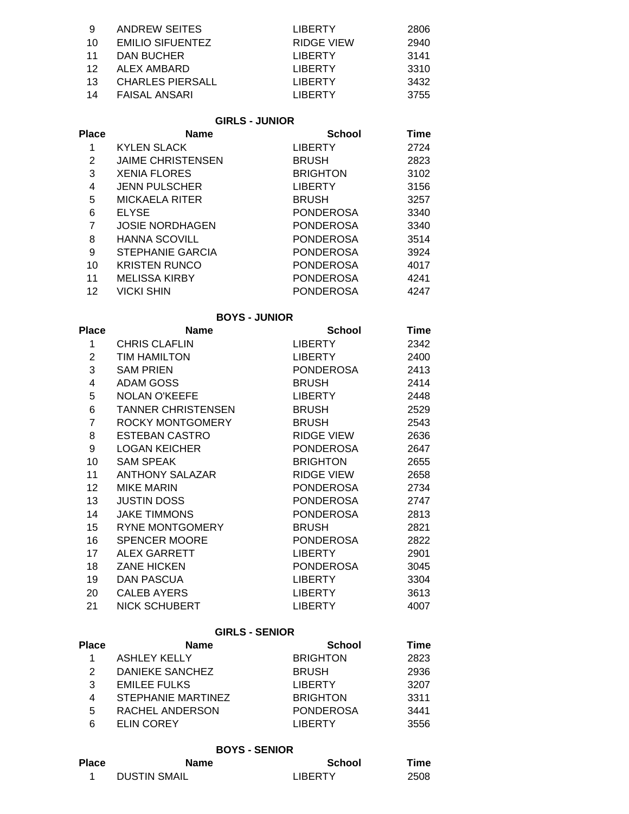| - 9             | ANDREW SEITES    | LIBERTY        | 2806 |
|-----------------|------------------|----------------|------|
| 10              | EMILIO SIFUENTEZ | RIDGE VIEW     | 2940 |
| 11              | DAN BUCHER       | LIBERTY        | 3141 |
| 12 <sup>°</sup> | ALEX AMBARD      | LIBERTY        | 3310 |
| 13              | CHARLES PIERSALL | <b>LIBERTY</b> | 3432 |
|                 | 14 FAISAL ANSARI | <b>LIBERTY</b> | 3755 |

### **GIRLS - JUNIOR**

| <b>Name</b>              | <b>School</b>    | <b>Time</b> |
|--------------------------|------------------|-------------|
| <b>KYLEN SLACK</b>       | <b>LIBERTY</b>   | 2724        |
| <b>JAIME CHRISTENSEN</b> | <b>BRUSH</b>     | 2823        |
| <b>XENIA FLORES</b>      | <b>BRIGHTON</b>  | 3102        |
| <b>JENN PULSCHER</b>     | <b>LIBERTY</b>   | 3156        |
| MICKAELA RITER           | <b>BRUSH</b>     | 3257        |
| <b>ELYSE</b>             | <b>PONDEROSA</b> | 3340        |
| <b>JOSIE NORDHAGEN</b>   | <b>PONDEROSA</b> | 3340        |
| <b>HANNA SCOVILL</b>     | <b>PONDEROSA</b> | 3514        |
| <b>STEPHANIE GARCIA</b>  | <b>PONDEROSA</b> | 3924        |
| <b>KRISTEN RUNCO</b>     | <b>PONDEROSA</b> | 4017        |
| <b>MELISSA KIRBY</b>     | PONDEROSA        | 4241        |
| <b>VICKI SHIN</b>        | PONDEROSA        | 4247        |
|                          |                  |             |

#### **BOYS - JUNIOR**

| Place           | <b>Name</b>          | <b>School</b>    | Time |  |
|-----------------|----------------------|------------------|------|--|
| 1               | <b>CHRIS CLAFLIN</b> | LIBERTY          | 2342 |  |
| $\overline{2}$  | TIM HAMILTON         | LIBERTY          | 2400 |  |
| 3               | <b>SAM PRIEN</b>     | PONDEROSA        | 2413 |  |
| 4               | ADAM GOSS            | <b>BRUSH</b>     | 2414 |  |
| 5               | <b>NOLAN O'KEEFE</b> | LIBERTY          | 2448 |  |
| 6               | TANNER CHRISTENSEN   | <b>BRUSH</b>     | 2529 |  |
| $\overline{7}$  | ROCKY MONTGOMERY     | BRUSH            | 2543 |  |
| 8               | ESTEBAN CASTRO       | RIDGE VIEW       | 2636 |  |
| 9               | LOGAN KEICHER        | PONDEROSA        | 2647 |  |
| 10              | <b>SAM SPEAK</b>     | <b>BRIGHTON</b>  | 2655 |  |
| 11              | ANTHONY SALAZAR      | RIDGE VIEW       | 2658 |  |
| 12 <sup>°</sup> | <b>MIKE MARIN</b>    | PONDEROSA        | 2734 |  |
| 13 <sup>7</sup> | JUSTIN DOSS          | PONDEROSA        | 2747 |  |
| 14              | <b>JAKE TIMMONS</b>  | PONDEROSA        | 2813 |  |
| 15              | RYNE MONTGOMERY      | <b>BRUSH</b>     | 2821 |  |
| 16              | <b>SPENCER MOORE</b> | PONDEROSA        | 2822 |  |
| 17              | ALEX GARRETT         | <b>LIBERTY</b>   | 2901 |  |
| 18              | <b>ZANE HICKEN</b>   | <b>PONDEROSA</b> | 3045 |  |
| 19              | DAN PASCUA           | <b>LIBERTY</b>   | 3304 |  |
| 20              | <b>CALEB AYERS</b>   | LIBERTY          | 3613 |  |
| 21              | NICK SCHUBERT        | LIBERTY          | 4007 |  |
|                 |                      |                  |      |  |

# **GIRLS - SENIOR**

| Place | <b>Name</b>         | <b>School</b>    | Time |  |
|-------|---------------------|------------------|------|--|
|       | <b>ASHLEY KELLY</b> | <b>BRIGHTON</b>  | 2823 |  |
| 2     | DANIEKE SANCHEZ     | <b>BRUSH</b>     | 2936 |  |
| 3     | <b>EMILEE FULKS</b> | LIBERTY          | 3207 |  |
| 4     | STEPHANIE MARTINEZ  | <b>BRIGHTON</b>  | 3311 |  |
| 5     | RACHEL ANDERSON     | <b>PONDEROSA</b> | 3441 |  |
| 6     | ELIN COREY          | <b>I IRERTY</b>  | 3556 |  |

### **BOYS - SENIOR**

| <b>Place</b> | Name                | <b>School</b>  | Time |
|--------------|---------------------|----------------|------|
|              | <b>DUSTIN SMAIL</b> | <b>LIBERTY</b> | 2508 |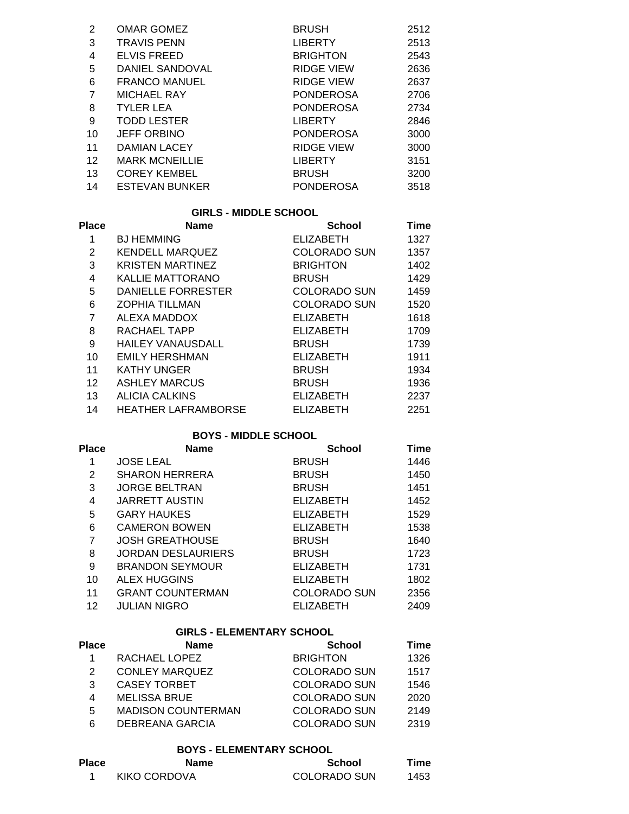| 2  | <b>OMAR GOMEZ</b>     | <b>BRUSH</b>      | 2512 |
|----|-----------------------|-------------------|------|
| 3  | <b>TRAVIS PENN</b>    | <b>LIBERTY</b>    | 2513 |
| 4  | <b>ELVIS FREED</b>    | <b>BRIGHTON</b>   | 2543 |
| 5  | DANIEL SANDOVAL       | <b>RIDGE VIEW</b> | 2636 |
| 6  | <b>FRANCO MANUEL</b>  | RIDGE VIEW        | 2637 |
| 7  | <b>MICHAEL RAY</b>    | <b>PONDEROSA</b>  | 2706 |
| 8  | <b>TYLER LEA</b>      | PONDEROSA         | 2734 |
| 9  | <b>TODD LESTER</b>    | <b>LIBERTY</b>    | 2846 |
| 10 | <b>JEFF ORBINO</b>    | <b>PONDEROSA</b>  | 3000 |
| 11 | DAMIAN LACEY          | RIDGE VIEW        | 3000 |
| 12 | <b>MARK MCNEILLIE</b> | LIBERTY           | 3151 |
| 13 | <b>COREY KEMBEL</b>   | <b>BRUSH</b>      | 3200 |
| 14 | <b>ESTEVAN BUNKER</b> | <b>PONDEROSA</b>  | 3518 |

#### **GIRLS - MIDDLE SCHOOL**

| Place             | <b>Name</b>                | <b>School</b>       | Time |  |
|-------------------|----------------------------|---------------------|------|--|
| 1                 | <b>BJ HEMMING</b>          | <b>ELIZABETH</b>    | 1327 |  |
| $\overline{2}$    | <b>KENDELL MARQUEZ</b>     | COLORADO SUN        | 1357 |  |
| 3                 | <b>KRISTEN MARTINEZ</b>    | <b>BRIGHTON</b>     | 1402 |  |
| 4                 | <b>KALLIE MATTORANO</b>    | <b>BRUSH</b>        | 1429 |  |
| 5                 | DANIELLE FORRESTER         | <b>COLORADO SUN</b> | 1459 |  |
| 6                 | <b>ZOPHIA TILLMAN</b>      | <b>COLORADO SUN</b> | 1520 |  |
| 7                 | ALEXA MADDOX               | <b>ELIZABETH</b>    | 1618 |  |
| 8                 | RACHAEL TAPP               | <b>ELIZABETH</b>    | 1709 |  |
| 9                 | <b>HAILEY VANAUSDALL</b>   | <b>BRUSH</b>        | 1739 |  |
| 10                | <b>EMILY HERSHMAN</b>      | <b>ELIZABETH</b>    | 1911 |  |
| 11                | <b>KATHY UNGER</b>         | <b>BRUSH</b>        | 1934 |  |
| $12 \overline{ }$ | <b>ASHLEY MARCUS</b>       | <b>BRUSH</b>        | 1936 |  |
| 13                | <b>ALICIA CALKINS</b>      | <b>ELIZABETH</b>    | 2237 |  |
| 14                | <b>HEATHER LAFRAMBORSE</b> | <b>ELIZABETH</b>    | 2251 |  |

## **BOYS - MIDDLE SCHOOL**

| Place | <b>Name</b>               | <b>School</b>       | Time |  |
|-------|---------------------------|---------------------|------|--|
| 1     | <b>JOSE LEAL</b>          | <b>BRUSH</b>        | 1446 |  |
| 2     | <b>SHARON HERRERA</b>     | <b>BRUSH</b>        | 1450 |  |
| 3     | <b>JORGE BELTRAN</b>      | <b>BRUSH</b>        | 1451 |  |
| 4     | <b>JARRETT AUSTIN</b>     | <b>ELIZABETH</b>    | 1452 |  |
| 5     | <b>GARY HAUKES</b>        | <b>ELIZABETH</b>    | 1529 |  |
| 6     | <b>CAMERON BOWEN</b>      | <b>ELIZABETH</b>    | 1538 |  |
| 7     | <b>JOSH GREATHOUSE</b>    | <b>BRUSH</b>        | 1640 |  |
| 8     | <b>JORDAN DESLAURIERS</b> | <b>BRUSH</b>        | 1723 |  |
| 9     | <b>BRANDON SEYMOUR</b>    | <b>ELIZABETH</b>    | 1731 |  |
| 10    | ALEX HUGGINS              | <b>ELIZABETH</b>    | 1802 |  |
| 11    | <b>GRANT COUNTERMAN</b>   | <b>COLORADO SUN</b> | 2356 |  |
| 12    | <b>JULIAN NIGRO</b>       | <b>ELIZABETH</b>    | 2409 |  |

#### **GIRLS - ELEMENTARY SCHOOL**

| Place | <b>Name</b>               | <b>School</b>       | Time |  |
|-------|---------------------------|---------------------|------|--|
|       | RACHAEL LOPEZ             | <b>BRIGHTON</b>     | 1326 |  |
| 2     | <b>CONLEY MARQUEZ</b>     | <b>COLORADO SUN</b> | 1517 |  |
| 3     | CASEY TORBET              | <b>COLORADO SUN</b> | 1546 |  |
| 4     | <b>MELISSA BRUE</b>       | COLORADO SUN        | 2020 |  |
| 5     | <b>MADISON COUNTERMAN</b> | <b>COLORADO SUN</b> | 2149 |  |
| 6     | <b>DEBREANA GARCIA</b>    | <b>COLORADO SUN</b> | 2319 |  |

### **BOYS - ELEMENTARY SCHOOL**

| Place | Name         | <b>School</b> | Time |  |
|-------|--------------|---------------|------|--|
|       | KIKO CORDOVA | COLORADO SUN  | 1453 |  |